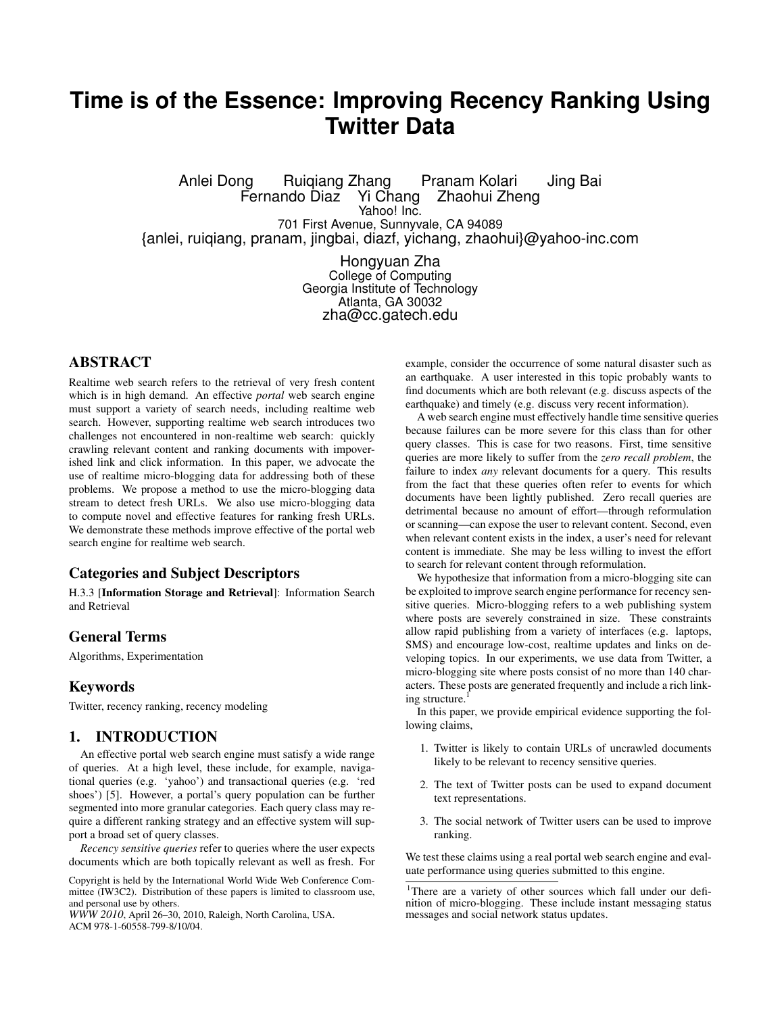# **Time is of the Essence: Improving Recency Ranking Using Twitter Data**

Anlei Dong Ruiqiang Zhang Pranam Kolari Jing Bai Zhaohui Zheng Yahoo! Inc. 701 First Avenue, Sunnyvale, CA 94089 {anlei, ruiqiang, pranam, jingbai, diazf, yichang, zhaohui}@yahoo-inc.com

> Hongyuan Zha College of Computing Georgia Institute of Technology Atlanta, GA 30032 zha@cc.gatech.edu

# ABSTRACT

Realtime web search refers to the retrieval of very fresh content which is in high demand. An effective *portal* web search engine must support a variety of search needs, including realtime web search. However, supporting realtime web search introduces two challenges not encountered in non-realtime web search: quickly crawling relevant content and ranking documents with impoverished link and click information. In this paper, we advocate the use of realtime micro-blogging data for addressing both of these problems. We propose a method to use the micro-blogging data stream to detect fresh URLs. We also use micro-blogging data to compute novel and effective features for ranking fresh URLs. We demonstrate these methods improve effective of the portal web search engine for realtime web search.

### Categories and Subject Descriptors

H.3.3 [Information Storage and Retrieval]: Information Search and Retrieval

# General Terms

Algorithms, Experimentation

# Keywords

Twitter, recency ranking, recency modeling

# 1. INTRODUCTION

An effective portal web search engine must satisfy a wide range of queries. At a high level, these include, for example, navigational queries (e.g. 'yahoo') and transactional queries (e.g. 'red shoes') [5]. However, a portal's query population can be further segmented into more granular categories. Each query class may require a different ranking strategy and an effective system will support a broad set of query classes.

*Recency sensitive queries* refer to queries where the user expects documents which are both topically relevant as well as fresh. For

*WWW 2010*, April 26–30, 2010, Raleigh, North Carolina, USA. ACM 978-1-60558-799-8/10/04.

example, consider the occurrence of some natural disaster such as an earthquake. A user interested in this topic probably wants to find documents which are both relevant (e.g. discuss aspects of the earthquake) and timely (e.g. discuss very recent information).

A web search engine must effectively handle time sensitive queries because failures can be more severe for this class than for other query classes. This is case for two reasons. First, time sensitive queries are more likely to suffer from the *zero recall problem*, the failure to index *any* relevant documents for a query. This results from the fact that these queries often refer to events for which documents have been lightly published. Zero recall queries are detrimental because no amount of effort—through reformulation or scanning—can expose the user to relevant content. Second, even when relevant content exists in the index, a user's need for relevant content is immediate. She may be less willing to invest the effort to search for relevant content through reformulation.

We hypothesize that information from a micro-blogging site can be exploited to improve search engine performance for recency sensitive queries. Micro-blogging refers to a web publishing system where posts are severely constrained in size. These constraints allow rapid publishing from a variety of interfaces (e.g. laptops, SMS) and encourage low-cost, realtime updates and links on developing topics. In our experiments, we use data from Twitter, a micro-blogging site where posts consist of no more than 140 characters. These posts are generated frequently and include a rich linking structure.

In this paper, we provide empirical evidence supporting the following claims,

- 1. Twitter is likely to contain URLs of uncrawled documents likely to be relevant to recency sensitive queries.
- 2. The text of Twitter posts can be used to expand document text representations.
- 3. The social network of Twitter users can be used to improve ranking.

We test these claims using a real portal web search engine and evaluate performance using queries submitted to this engine.

Copyright is held by the International World Wide Web Conference Committee (IW3C2). Distribution of these papers is limited to classroom use, and personal use by others.

<sup>&</sup>lt;sup>1</sup>There are a variety of other sources which fall under our definition of micro-blogging. These include instant messaging status messages and social network status updates.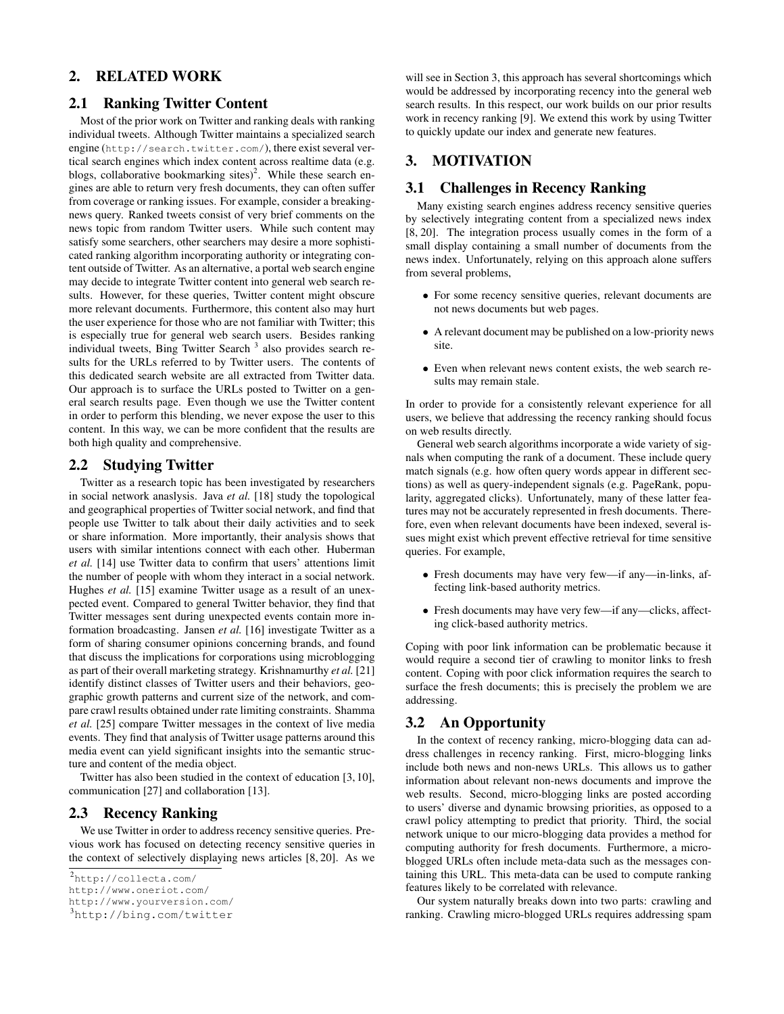# 2. RELATED WORK

# 2.1 Ranking Twitter Content

Most of the prior work on Twitter and ranking deals with ranking individual tweets. Although Twitter maintains a specialized search engine (http://search.twitter.com/), there exist several vertical search engines which index content across realtime data (e.g. blogs, collaborative bookmarking sites)<sup>2</sup>. While these search engines are able to return very fresh documents, they can often suffer from coverage or ranking issues. For example, consider a breakingnews query. Ranked tweets consist of very brief comments on the news topic from random Twitter users. While such content may satisfy some searchers, other searchers may desire a more sophisticated ranking algorithm incorporating authority or integrating content outside of Twitter. As an alternative, a portal web search engine may decide to integrate Twitter content into general web search results. However, for these queries, Twitter content might obscure more relevant documents. Furthermore, this content also may hurt the user experience for those who are not familiar with Twitter; this is especially true for general web search users. Besides ranking individual tweets, Bing Twitter Search<sup>3</sup> also provides search results for the URLs referred to by Twitter users. The contents of this dedicated search website are all extracted from Twitter data. Our approach is to surface the URLs posted to Twitter on a general search results page. Even though we use the Twitter content in order to perform this blending, we never expose the user to this content. In this way, we can be more confident that the results are both high quality and comprehensive.

# 2.2 Studying Twitter

Twitter as a research topic has been investigated by researchers in social network anaslysis. Java *et al.* [18] study the topological and geographical properties of Twitter social network, and find that people use Twitter to talk about their daily activities and to seek or share information. More importantly, their analysis shows that users with similar intentions connect with each other. Huberman *et al.* [14] use Twitter data to confirm that users' attentions limit the number of people with whom they interact in a social network. Hughes *et al.* [15] examine Twitter usage as a result of an unexpected event. Compared to general Twitter behavior, they find that Twitter messages sent during unexpected events contain more information broadcasting. Jansen *et al.* [16] investigate Twitter as a form of sharing consumer opinions concerning brands, and found that discuss the implications for corporations using microblogging as part of their overall marketing strategy. Krishnamurthy *et al.* [21] identify distinct classes of Twitter users and their behaviors, geographic growth patterns and current size of the network, and compare crawl results obtained under rate limiting constraints. Shamma *et al.* [25] compare Twitter messages in the context of live media events. They find that analysis of Twitter usage patterns around this media event can yield significant insights into the semantic structure and content of the media object.

Twitter has also been studied in the context of education [3, 10], communication [27] and collaboration [13].

### 2.3 Recency Ranking

We use Twitter in order to address recency sensitive queries. Previous work has focused on detecting recency sensitive queries in the context of selectively displaying news articles [8, 20]. As we

will see in Section 3, this approach has several shortcomings which would be addressed by incorporating recency into the general web search results. In this respect, our work builds on our prior results work in recency ranking [9]. We extend this work by using Twitter to quickly update our index and generate new features.

# 3. MOTIVATION

### 3.1 Challenges in Recency Ranking

Many existing search engines address recency sensitive queries by selectively integrating content from a specialized news index [8, 20]. The integration process usually comes in the form of a small display containing a small number of documents from the news index. Unfortunately, relying on this approach alone suffers from several problems,

- For some recency sensitive queries, relevant documents are not news documents but web pages.
- A relevant document may be published on a low-priority news site.
- Even when relevant news content exists, the web search results may remain stale.

In order to provide for a consistently relevant experience for all users, we believe that addressing the recency ranking should focus on web results directly.

General web search algorithms incorporate a wide variety of signals when computing the rank of a document. These include query match signals (e.g. how often query words appear in different sections) as well as query-independent signals (e.g. PageRank, popularity, aggregated clicks). Unfortunately, many of these latter features may not be accurately represented in fresh documents. Therefore, even when relevant documents have been indexed, several issues might exist which prevent effective retrieval for time sensitive queries. For example,

- Fresh documents may have very few—if any—in-links, affecting link-based authority metrics.
- Fresh documents may have very few—if any—clicks, affecting click-based authority metrics.

Coping with poor link information can be problematic because it would require a second tier of crawling to monitor links to fresh content. Coping with poor click information requires the search to surface the fresh documents; this is precisely the problem we are addressing.

## 3.2 An Opportunity

In the context of recency ranking, micro-blogging data can address challenges in recency ranking. First, micro-blogging links include both news and non-news URLs. This allows us to gather information about relevant non-news documents and improve the web results. Second, micro-blogging links are posted according to users' diverse and dynamic browsing priorities, as opposed to a crawl policy attempting to predict that priority. Third, the social network unique to our micro-blogging data provides a method for computing authority for fresh documents. Furthermore, a microblogged URLs often include meta-data such as the messages containing this URL. This meta-data can be used to compute ranking features likely to be correlated with relevance.

Our system naturally breaks down into two parts: crawling and ranking. Crawling micro-blogged URLs requires addressing spam

<sup>2</sup> http://collecta.com/

http://www.oneriot.com/

http://www.yourversion.com/

<sup>3</sup>http://bing.com/twitter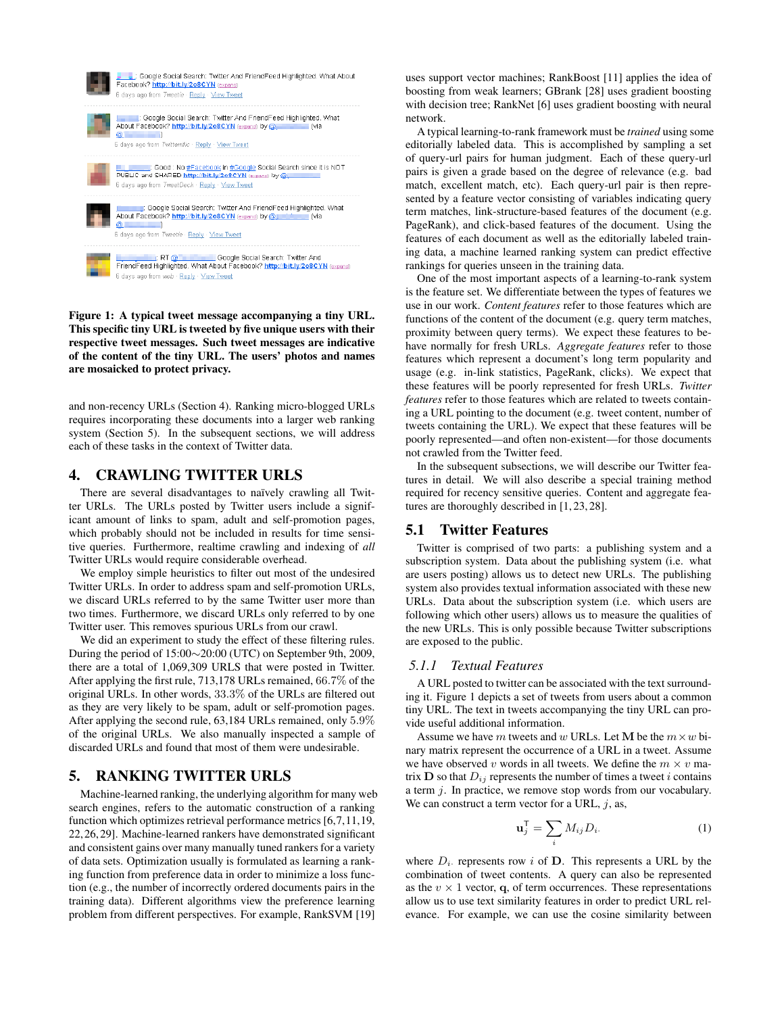

Connole Social Search: Twitter And FriendFeed Highlighted, What About Facebook? http://bit.ly/2o8CYN (expand 6 days ago from Tweetie · Reply · View Tweet



Figure 1: A typical tweet message accompanying a tiny URL. This specific tiny URL is tweeted by five unique users with their respective tweet messages. Such tweet messages are indicative of the content of the tiny URL. The users' photos and names are mosaicked to protect privacy.

and non-recency URLs (Section 4). Ranking micro-blogged URLs requires incorporating these documents into a larger web ranking system (Section 5). In the subsequent sections, we will address each of these tasks in the context of Twitter data.

## 4. CRAWLING TWITTER URLS

There are several disadvantages to naïvely crawling all Twitter URLs. The URLs posted by Twitter users include a significant amount of links to spam, adult and self-promotion pages, which probably should not be included in results for time sensitive queries. Furthermore, realtime crawling and indexing of *all* Twitter URLs would require considerable overhead.

We employ simple heuristics to filter out most of the undesired Twitter URLs. In order to address spam and self-promotion URLs, we discard URLs referred to by the same Twitter user more than two times. Furthermore, we discard URLs only referred to by one Twitter user. This removes spurious URLs from our crawl.

We did an experiment to study the effect of these filtering rules. During the period of 15:00∼20:00 (UTC) on September 9th, 2009, there are a total of 1,069,309 URLS that were posted in Twitter. After applying the first rule, 713,178 URLs remained, 66.7% of the original URLs. In other words, 33.3% of the URLs are filtered out as they are very likely to be spam, adult or self-promotion pages. After applying the second rule, 63,184 URLs remained, only 5.9% of the original URLs. We also manually inspected a sample of discarded URLs and found that most of them were undesirable.

# 5. RANKING TWITTER URLS

Machine-learned ranking, the underlying algorithm for many web search engines, refers to the automatic construction of a ranking function which optimizes retrieval performance metrics [6,7,11,19, 22, 26, 29]. Machine-learned rankers have demonstrated significant and consistent gains over many manually tuned rankers for a variety of data sets. Optimization usually is formulated as learning a ranking function from preference data in order to minimize a loss function (e.g., the number of incorrectly ordered documents pairs in the training data). Different algorithms view the preference learning problem from different perspectives. For example, RankSVM [19]

uses support vector machines; RankBoost [11] applies the idea of boosting from weak learners; GBrank [28] uses gradient boosting with decision tree; RankNet [6] uses gradient boosting with neural network.

A typical learning-to-rank framework must be *trained* using some editorially labeled data. This is accomplished by sampling a set of query-url pairs for human judgment. Each of these query-url pairs is given a grade based on the degree of relevance (e.g. bad match, excellent match, etc). Each query-url pair is then represented by a feature vector consisting of variables indicating query term matches, link-structure-based features of the document (e.g. PageRank), and click-based features of the document. Using the features of each document as well as the editorially labeled training data, a machine learned ranking system can predict effective rankings for queries unseen in the training data.

One of the most important aspects of a learning-to-rank system is the feature set. We differentiate between the types of features we use in our work. *Content features* refer to those features which are functions of the content of the document (e.g. query term matches, proximity between query terms). We expect these features to behave normally for fresh URLs. *Aggregate features* refer to those features which represent a document's long term popularity and usage (e.g. in-link statistics, PageRank, clicks). We expect that these features will be poorly represented for fresh URLs. *Twitter features* refer to those features which are related to tweets containing a URL pointing to the document (e.g. tweet content, number of tweets containing the URL). We expect that these features will be poorly represented—and often non-existent—for those documents not crawled from the Twitter feed.

In the subsequent subsections, we will describe our Twitter features in detail. We will also describe a special training method required for recency sensitive queries. Content and aggregate features are thoroughly described in [1, 23, 28].

#### 5.1 Twitter Features

Twitter is comprised of two parts: a publishing system and a subscription system. Data about the publishing system (i.e. what are users posting) allows us to detect new URLs. The publishing system also provides textual information associated with these new URLs. Data about the subscription system (i.e. which users are following which other users) allows us to measure the qualities of the new URLs. This is only possible because Twitter subscriptions are exposed to the public.

### *5.1.1 Textual Features*

A URL posted to twitter can be associated with the text surrounding it. Figure 1 depicts a set of tweets from users about a common tiny URL. The text in tweets accompanying the tiny URL can provide useful additional information.

Assume we have m tweets and w URLs. Let M be the  $m \times w$  binary matrix represent the occurrence of a URL in a tweet. Assume we have observed v words in all tweets. We define the  $m \times v$  matrix **D** so that  $D_{ij}$  represents the number of times a tweet i contains a term  $j$ . In practice, we remove stop words from our vocabulary. We can construct a term vector for a URL,  $j$ , as,

$$
\mathbf{u}_j^{\mathsf{T}} = \sum_i M_{ij} D_i. \tag{1}
$$

where  $D_i$  represents row i of **D**. This represents a URL by the combination of tweet contents. A query can also be represented as the  $v \times 1$  vector, q, of term occurrences. These representations allow us to use text similarity features in order to predict URL relevance. For example, we can use the cosine similarity between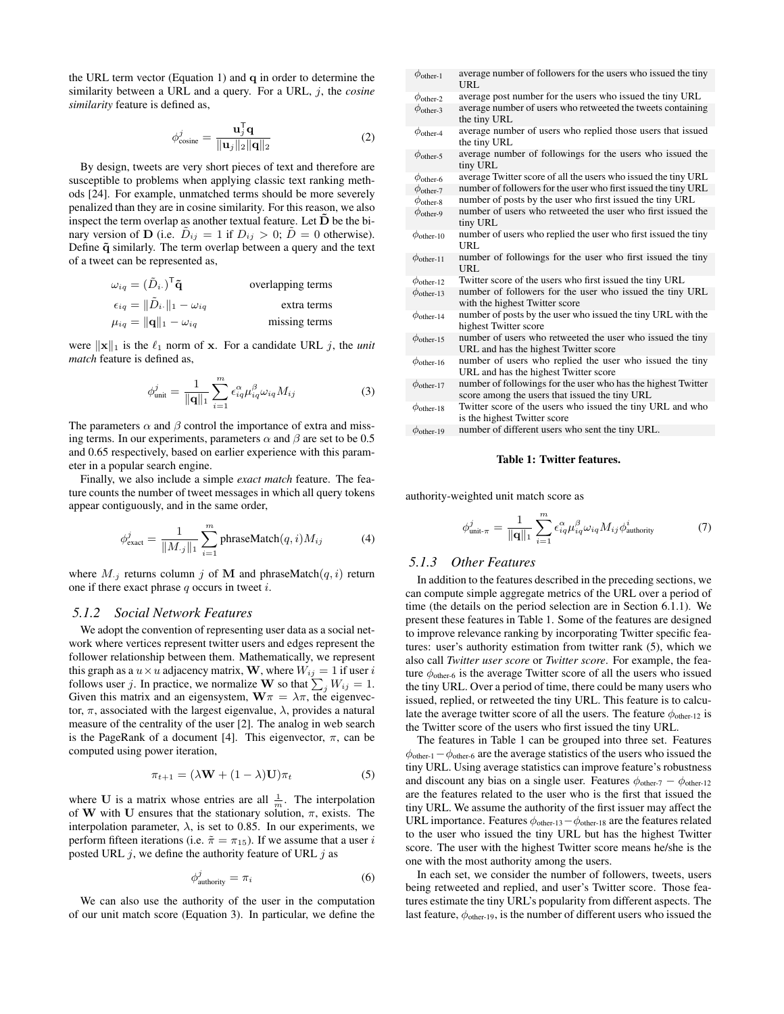the URL term vector (Equation 1) and  $q$  in order to determine the similarity between a URL and a query. For a URL, j, the *cosine similarity* feature is defined as,

$$
\phi_{\text{cosine}}^j = \frac{\mathbf{u}_j^{\mathsf{T}} \mathbf{q}}{\|\mathbf{u}_j\|_2 \|\mathbf{q}\|_2}
$$
(2)

By design, tweets are very short pieces of text and therefore are susceptible to problems when applying classic text ranking methods [24]. For example, unmatched terms should be more severely penalized than they are in cosine similarity. For this reason, we also inspect the term overlap as another textual feature. Let  $D$  be the binary version of **D** (i.e.  $\tilde{D}_{ij} = 1$  if  $D_{ij} > 0$ ;  $\tilde{D} = 0$  otherwise). Define  $\tilde{q}$  similarly. The term overlap between a query and the text of a tweet can be represented as,

| $\omega_{iq}=(\tilde{D}_{i\cdot})^{\mathsf{T}}\tilde{\mathbf{q}}$ | overlapping terms |
|-------------------------------------------------------------------|-------------------|
| $\epsilon_{iq} =   D_i  _1 - \omega_{iq}$                         | extra terms       |
| $\mu_{iq} =   \mathbf{q}  _1 - \omega_{iq}$                       | missing terms     |

were  $\|\mathbf{x}\|_1$  is the  $\ell_1$  norm of **x**. For a candidate URL j, the *unit match* feature is defined as,

$$
\phi_{\text{unit}}^j = \frac{1}{\|\mathbf{q}\|_1} \sum_{i=1}^m \epsilon_{iq}^\alpha \mu_{iq}^\beta \omega_{iq} M_{ij}
$$
 (3)

The parameters  $\alpha$  and  $\beta$  control the importance of extra and missing terms. In our experiments, parameters  $\alpha$  and  $\beta$  are set to be 0.5 and 0.65 respectively, based on earlier experience with this parameter in a popular search engine.

Finally, we also include a simple *exact match* feature. The feature counts the number of tweet messages in which all query tokens appear contiguously, and in the same order,

$$
\phi_{\text{exact}}^j = \frac{1}{\|M_{\cdot j}\|_1} \sum_{i=1}^m \text{phraseMatch}(q, i) M_{ij} \tag{4}
$$

where  $M_{ij}$  returns column j of M and phraseMatch $(q, i)$  return one if there exact phrase  $q$  occurs in tweet  $i$ .

#### *5.1.2 Social Network Features*

We adopt the convention of representing user data as a social network where vertices represent twitter users and edges represent the follower relationship between them. Mathematically, we represent this graph as a  $u \times u$  adjacency matrix, **W**, where  $W_{ij} = 1$  if user i follows user *j*. In practice, we normalize **W** so that  $\sum_j W_{ij} = 1$ . Given this matrix and an eigensystem,  $\mathbf{W}\pi = \lambda \pi$ , the eigenvector,  $\pi$ , associated with the largest eigenvalue,  $\lambda$ , provides a natural measure of the centrality of the user [2]. The analog in web search is the PageRank of a document [4]. This eigenvector,  $\pi$ , can be computed using power iteration,

$$
\pi_{t+1} = (\lambda \mathbf{W} + (1 - \lambda)\mathbf{U})\pi_t \tag{5}
$$

where U is a matrix whose entries are all  $\frac{1}{m}$ . The interpolation of W with U ensures that the stationary solution,  $\pi$ , exists. The interpolation parameter,  $\lambda$ , is set to 0.85. In our experiments, we perform fifteen iterations (i.e.  $\tilde{\pi} = \pi_{15}$ ). If we assume that a user i posted URL  $j$ , we define the authority feature of URL  $j$  as

$$
\phi_{\text{authority}}^j = \pi_i \tag{6}
$$

We can also use the authority of the user in the computation of our unit match score (Equation 3). In particular, we define the

| $\phi$ <sub>other-1</sub>    | average number of followers for the users who issued the tiny<br>URL                                            |
|------------------------------|-----------------------------------------------------------------------------------------------------------------|
| $\phi$ <sub>other-2</sub>    | average post number for the users who issued the tiny URL                                                       |
| $\phi$ <sub>other-3</sub>    | average number of users who retweeted the tweets containing<br>the tiny URL                                     |
| $\phi$ <sub>other-4</sub>    | average number of users who replied those users that issued<br>the tiny URL                                     |
| $\phi$ <sub>other-5</sub>    | average number of followings for the users who issued the<br>tiny URL                                           |
| $\phi$ <sub>other-6</sub>    | average Twitter score of all the users who issued the tiny URL                                                  |
| $\phi$ <sub>other-7</sub>    | number of followers for the user who first issued the tiny URL                                                  |
| $\phi$ <sub>other-8</sub>    | number of posts by the user who first issued the tiny URL                                                       |
| $\phi$ <sub>other-9</sub>    | number of users who retweeted the user who first issued the<br>tiny URL                                         |
| $\phi$ other-10              | number of users who replied the user who first issued the tiny<br>URL.                                          |
| $\phi$ <sub>other-11</sub>   | number of followings for the user who first issued the tiny<br>URL                                              |
| $\phi$ other-12              | Twitter score of the users who first issued the tiny URL                                                        |
| $\phi$ other-13              | number of followers for the user who issued the tiny URL<br>with the highest Twitter score                      |
| $\phi_{\rm other\text{-}14}$ | number of posts by the user who issued the tiny URL with the<br>highest Twitter score                           |
| $\phi$ <sub>other-15</sub>   | number of users who retweeted the user who issued the tiny<br>URL and has the highest Twitter score             |
| $\phi$ other-16              | number of users who replied the user who issued the tiny<br>URL and has the highest Twitter score               |
| $\phi$ <sub>other-17</sub>   | number of followings for the user who has the highest Twitter<br>score among the users that issued the tiny URL |
| $\overline{a}$               | Twitten coope of the weeks who issued the time LIDL, and who                                                    |

- $\phi_{other-18}$  Twitter score of the users who issued the tiny URL and who is the highest Twitter score
- $\phi_{other-19}$  number of different users who sent the tiny URL.

#### Table 1: Twitter features.

authority-weighted unit match score as

$$
\phi_{\text{unit-}\pi}^j = \frac{1}{\|\mathbf{q}\|_1} \sum_{i=1}^m \epsilon_{iq}^{\alpha} \mu_{iq}^{\beta} \omega_{iq} M_{ij} \phi_{\text{authority}}^i \tag{7}
$$

### *5.1.3 Other Features*

In addition to the features described in the preceding sections, we can compute simple aggregate metrics of the URL over a period of time (the details on the period selection are in Section 6.1.1). We present these features in Table 1. Some of the features are designed to improve relevance ranking by incorporating Twitter specific features: user's authority estimation from twitter rank (5), which we also call *Twitter user score* or *Twitter score*. For example, the feature  $\phi_{other-6}$  is the average Twitter score of all the users who issued the tiny URL. Over a period of time, there could be many users who issued, replied, or retweeted the tiny URL. This feature is to calculate the average twitter score of all the users. The feature  $\phi_{other-12}$  is the Twitter score of the users who first issued the tiny URL.

The features in Table 1 can be grouped into three set. Features  $\phi_{other-1} - \phi_{other-6}$  are the average statistics of the users who issued the tiny URL. Using average statistics can improve feature's robustness and discount any bias on a single user. Features  $\phi_{other-7} - \phi_{other-12}$ are the features related to the user who is the first that issued the tiny URL. We assume the authority of the first issuer may affect the URL importance. Features  $\phi_{other-13} - \phi_{other-18}$  are the features related to the user who issued the tiny URL but has the highest Twitter score. The user with the highest Twitter score means he/she is the one with the most authority among the users.

In each set, we consider the number of followers, tweets, users being retweeted and replied, and user's Twitter score. Those features estimate the tiny URL's popularity from different aspects. The last feature,  $\phi_{other-19}$ , is the number of different users who issued the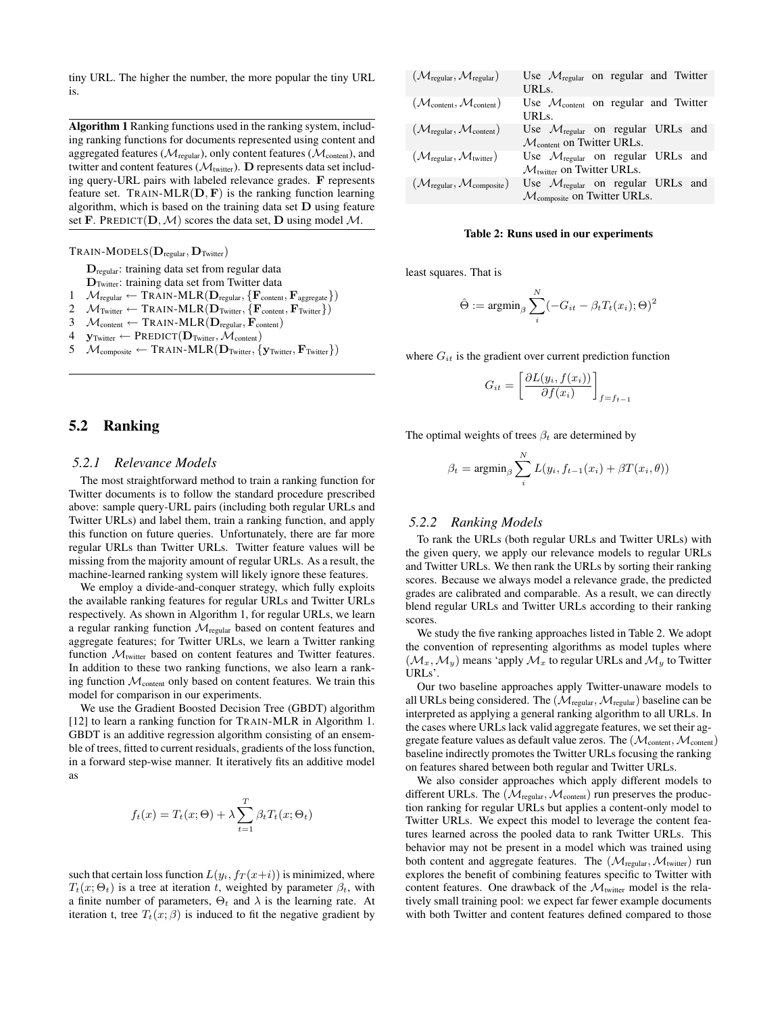tiny URL. The higher the number, the more popular the tiny URL is.

Algorithm 1 Ranking functions used in the ranking system, including ranking functions for documents represented using content and aggregated features ( $\mathcal{M}_{\text{regular}}$ ), only content features ( $\mathcal{M}_{\text{content}}$ ), and twitter and content features ( $\mathcal{M}_{\text{twitter}}$ ). D represents data set including query-URL pairs with labeled relevance grades. F represents feature set. TRAIN-MLR $(D, F)$  is the ranking function learning algorithm, which is based on the training data set D using feature set F. PREDICT( $D, M$ ) scores the data set, D using model M.

 $TRAIN-MODELS(D_{regular}, D_{Twitter})$ 

 $D_{\text{regular}}$ : training data set from regular data

 $D_{\text{Twitter}}$ : training data set from Twitter data

$$
1 \quad \mathcal{M}_{\text{regular}} \leftarrow \text{TRAIN-MLR}(\mathbf{D}_{\text{regular}}, \{\mathbf{F}_{\text{content}}, \mathbf{F}_{\text{aggregate}}\})
$$

- 2  $\mathcal{M}_{\text{Twitter}} \leftarrow \text{TRAIN-MLR}(\mathbf{D}_{\text{Twitter}}, \{ \mathbf{F}_{\text{content}}, \mathbf{F}_{\text{Twitter}} \})$
- 3  $M_{\text{content}} \leftarrow \text{TRAN-MLR}(\mathbf{D}_{\text{regular}}, \mathbf{F}_{\text{content}})$
- $4 \text{ y}_{\text{Twitter}} \leftarrow \text{PREDICT}(\mathbf{D}_{\text{Twitter}}, \mathcal{M}_{\text{content}})$
- $5 \quad M_{\text{composite}} \leftarrow \text{TRAN-MLR}(\mathbf{D}_{\text{Twitter}}, \{\mathbf{y}_{\text{Twitter}}, \mathbf{F}_{\text{Twitter}}\})$

# 5.2 Ranking

#### *5.2.1 Relevance Models*

The most straightforward method to train a ranking function for Twitter documents is to follow the standard procedure prescribed above: sample query-URL pairs (including both regular URLs and Twitter URLs) and label them, train a ranking function, and apply this function on future queries. Unfortunately, there are far more regular URLs than Twitter URLs. Twitter feature values will be missing from the majority amount of regular URLs. As a result, the machine-learned ranking system will likely ignore these features.

We employ a divide-and-conquer strategy, which fully exploits the available ranking features for regular URLs and Twitter URLs respectively. As shown in Algorithm 1, for regular URLs, we learn a regular ranking function  $\mathcal{M}_{\text{regular}}$  based on content features and aggregate features; for Twitter URLs, we learn a Twitter ranking function  $\mathcal{M}_{\text{twitter}}$  based on content features and Twitter features. In addition to these two ranking functions, we also learn a ranking function  $\mathcal{M}_{\text{content}}$  only based on content features. We train this model for comparison in our experiments.

We use the Gradient Boosted Decision Tree (GBDT) algorithm [12] to learn a ranking function for TRAIN-MLR in Algorithm 1. GBDT is an additive regression algorithm consisting of an ensemble of trees, fitted to current residuals, gradients of the loss function, in a forward step-wise manner. It iteratively fits an additive model as

$$
f_t(x) = T_t(x; \Theta) + \lambda \sum_{t=1}^T \beta_t T_t(x; \Theta_t)
$$

such that certain loss function  $L(y_i, f_T(x+i))$  is minimized, where  $T_t(x; \Theta_t)$  is a tree at iteration t, weighted by parameter  $\beta_t$ , with a finite number of parameters,  $\Theta_t$  and  $\lambda$  is the learning rate. At iteration t, tree  $T_t(x;\beta)$  is induced to fit the negative gradient by

| $(\mathcal{M}_{\text{regular}}, \mathcal{M}_{\text{regular}})$   | Use $\mathcal{M}_{\text{regular}}$ on regular and Twitter<br>URLs.                                          |
|------------------------------------------------------------------|-------------------------------------------------------------------------------------------------------------|
| $(\mathcal{M}_{\text{content}}, \mathcal{M}_{\text{content}})$   | Use $\mathcal{M}_{\text{content}}$ on regular and Twitter<br>URLs.                                          |
| $(\mathcal{M}_{\text{regular}}, \mathcal{M}_{\text{content}})$   | Use $\mathcal{M}_{\text{regular}}$ on regular URLs and<br>$\mathcal{M}_{\text{content}}$ on Twitter URLs.   |
| $(\mathcal{M}_{\text{regular}}, \mathcal{M}_{\text{twitter}})$   | Use $\mathcal{M}_{\text{regular}}$ on regular URLs and<br>$Mtwitter$ on Twitter URLs.                       |
| $(\mathcal{M}_{\text{regular}}, \mathcal{M}_{\text{composite}})$ | Use $\mathcal{M}_{\text{regular}}$ on regular URLs and<br>$\mathcal{M}_{\text{composite}}$ on Twitter URLs. |

#### Table 2: Runs used in our experiments

least squares. That is

$$
\hat{\Theta} := \operatorname{argmin}_{\beta} \sum_{i}^{N} (-G_{it} - \beta_t T_t(x_i); \Theta)^2
$$

where  $G_{it}$  is the gradient over current prediction function

$$
G_{it} = \left[\frac{\partial L(y_i, f(x_i))}{\partial f(x_i)}\right]_{f=f_{t-1}}
$$

The optimal weights of trees  $\beta_t$  are determined by

$$
\beta_t = \operatorname{argmin}_{\beta} \sum_{i}^{N} L(y_i, f_{t-1}(x_i) + \beta T(x_i, \theta))
$$

#### *5.2.2 Ranking Models*

To rank the URLs (both regular URLs and Twitter URLs) with the given query, we apply our relevance models to regular URLs and Twitter URLs. We then rank the URLs by sorting their ranking scores. Because we always model a relevance grade, the predicted grades are calibrated and comparable. As a result, we can directly blend regular URLs and Twitter URLs according to their ranking scores.

We study the five ranking approaches listed in Table 2. We adopt the convention of representing algorithms as model tuples where  $(\mathcal{M}_x,\mathcal{M}_y)$  means 'apply  $\mathcal{M}_x$  to regular URLs and  $\mathcal{M}_y$  to Twitter URLs'.

Our two baseline approaches apply Twitter-unaware models to all URLs being considered. The  $(\mathcal{M}_{\text{regular}},\mathcal{M}_{\text{regular}})$  baseline can be interpreted as applying a general ranking algorithm to all URLs. In the cases where URLs lack valid aggregate features, we set their aggregate feature values as default value zeros. The  $(\mathcal{M}_{\text{content}},\mathcal{M}_{\text{content}})$ baseline indirectly promotes the Twitter URLs focusing the ranking on features shared between both regular and Twitter URLs.

We also consider approaches which apply different models to different URLs. The  $(\mathcal{M}_{\text{regular}}, \mathcal{M}_{\text{content}})$  run preserves the production ranking for regular URLs but applies a content-only model to Twitter URLs. We expect this model to leverage the content features learned across the pooled data to rank Twitter URLs. This behavior may not be present in a model which was trained using both content and aggregate features. The  $(\mathcal{M}_{\text{regular}}, \mathcal{M}_{\text{twitter}})$  run explores the benefit of combining features specific to Twitter with content features. One drawback of the  $\mathcal{M}_{\text{twitter}}$  model is the relatively small training pool: we expect far fewer example documents with both Twitter and content features defined compared to those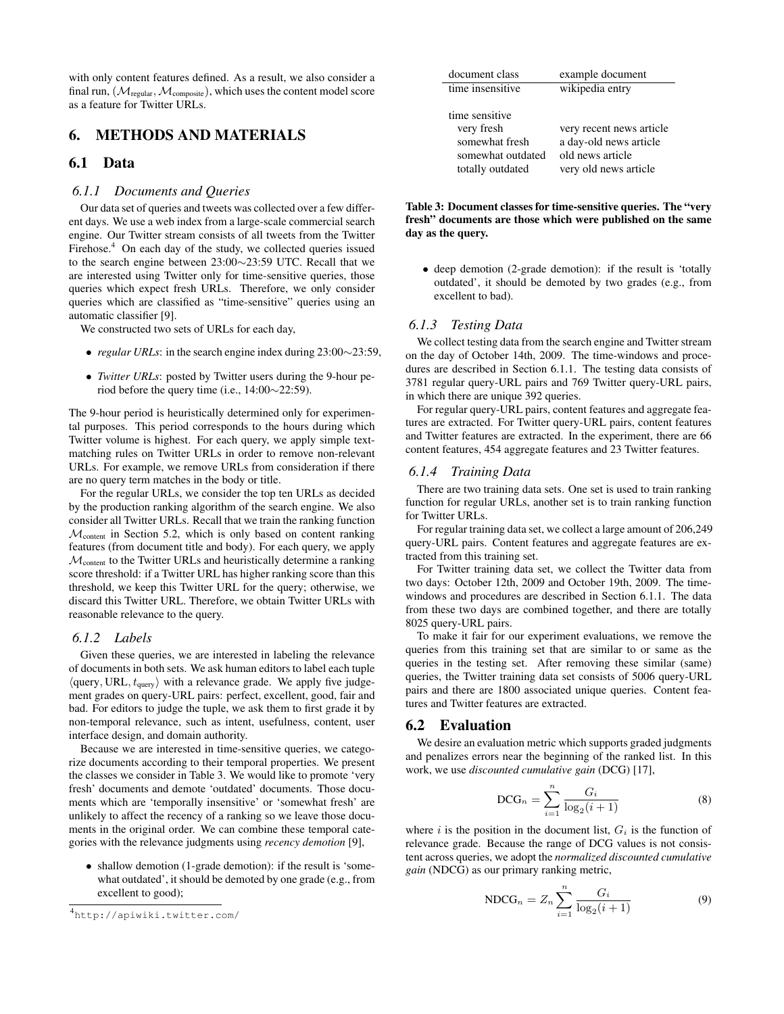with only content features defined. As a result, we also consider a final run,  $(\mathcal{M}_{\text{regular}}, \mathcal{M}_{\text{composite}})$ , which uses the content model score as a feature for Twitter URLs.

## 6. METHODS AND MATERIALS

## 6.1 Data

### *6.1.1 Documents and Queries*

Our data set of queries and tweets was collected over a few different days. We use a web index from a large-scale commercial search engine. Our Twitter stream consists of all tweets from the Twitter Firehose.<sup>4</sup> On each day of the study, we collected queries issued to the search engine between 23:00∼23:59 UTC. Recall that we are interested using Twitter only for time-sensitive queries, those queries which expect fresh URLs. Therefore, we only consider queries which are classified as "time-sensitive" queries using an automatic classifier [9].

We constructed two sets of URLs for each day,

- *regular URLs*: in the search engine index during 23:00∼23:59,
- *Twitter URLs*: posted by Twitter users during the 9-hour period before the query time (i.e., 14:00∼22:59).

The 9-hour period is heuristically determined only for experimental purposes. This period corresponds to the hours during which Twitter volume is highest. For each query, we apply simple textmatching rules on Twitter URLs in order to remove non-relevant URLs. For example, we remove URLs from consideration if there are no query term matches in the body or title.

For the regular URLs, we consider the top ten URLs as decided by the production ranking algorithm of the search engine. We also consider all Twitter URLs. Recall that we train the ranking function  $M_{\text{content}}$  in Section 5.2, which is only based on content ranking features (from document title and body). For each query, we apply  $M_{\text{content}}$  to the Twitter URLs and heuristically determine a ranking score threshold: if a Twitter URL has higher ranking score than this threshold, we keep this Twitter URL for the query; otherwise, we discard this Twitter URL. Therefore, we obtain Twitter URLs with reasonable relevance to the query.

#### *6.1.2 Labels*

Given these queries, we are interested in labeling the relevance of documents in both sets. We ask human editors to label each tuple  $\langle$ query, URL,  $t_{query}$  with a relevance grade. We apply five judgement grades on query-URL pairs: perfect, excellent, good, fair and bad. For editors to judge the tuple, we ask them to first grade it by non-temporal relevance, such as intent, usefulness, content, user interface design, and domain authority.

Because we are interested in time-sensitive queries, we categorize documents according to their temporal properties. We present the classes we consider in Table 3. We would like to promote 'very fresh' documents and demote 'outdated' documents. Those documents which are 'temporally insensitive' or 'somewhat fresh' are unlikely to affect the recency of a ranking so we leave those documents in the original order. We can combine these temporal categories with the relevance judgments using *recency demotion* [9],

• shallow demotion (1-grade demotion): if the result is 'somewhat outdated', it should be demoted by one grade (e.g., from excellent to good);

| document class                                                                          | example document                                                                                |
|-----------------------------------------------------------------------------------------|-------------------------------------------------------------------------------------------------|
| time insensitive                                                                        | wikipedia entry                                                                                 |
| time sensitive<br>very fresh<br>somewhat fresh<br>somewhat outdated<br>totally outdated | very recent news article<br>a day-old news article<br>old news article<br>very old news article |

#### Table 3: Document classes for time-sensitive queries. The "very fresh" documents are those which were published on the same day as the query.

• deep demotion (2-grade demotion): if the result is 'totally outdated', it should be demoted by two grades (e.g., from excellent to bad).

#### *6.1.3 Testing Data*

We collect testing data from the search engine and Twitter stream on the day of October 14th, 2009. The time-windows and procedures are described in Section 6.1.1. The testing data consists of 3781 regular query-URL pairs and 769 Twitter query-URL pairs, in which there are unique 392 queries.

For regular query-URL pairs, content features and aggregate features are extracted. For Twitter query-URL pairs, content features and Twitter features are extracted. In the experiment, there are 66 content features, 454 aggregate features and 23 Twitter features.

#### *6.1.4 Training Data*

There are two training data sets. One set is used to train ranking function for regular URLs, another set is to train ranking function for Twitter URLs.

For regular training data set, we collect a large amount of 206,249 query-URL pairs. Content features and aggregate features are extracted from this training set.

For Twitter training data set, we collect the Twitter data from two days: October 12th, 2009 and October 19th, 2009. The timewindows and procedures are described in Section 6.1.1. The data from these two days are combined together, and there are totally 8025 query-URL pairs.

To make it fair for our experiment evaluations, we remove the queries from this training set that are similar to or same as the queries in the testing set. After removing these similar (same) queries, the Twitter training data set consists of 5006 query-URL pairs and there are 1800 associated unique queries. Content features and Twitter features are extracted.

#### 6.2 Evaluation

We desire an evaluation metric which supports graded judgments and penalizes errors near the beginning of the ranked list. In this work, we use *discounted cumulative gain* (DCG) [17],

$$
\text{DCG}_n = \sum_{i=1}^n \frac{G_i}{\log_2(i+1)}\tag{8}
$$

where i is the position in the document list,  $G_i$  is the function of relevance grade. Because the range of DCG values is not consistent across queries, we adopt the *normalized discounted cumulative gain* (NDCG) as our primary ranking metric,

$$
NDCG_n = Z_n \sum_{i=1}^n \frac{G_i}{\log_2(i+1)}
$$
\n(9)

<sup>4</sup> http://apiwiki.twitter.com/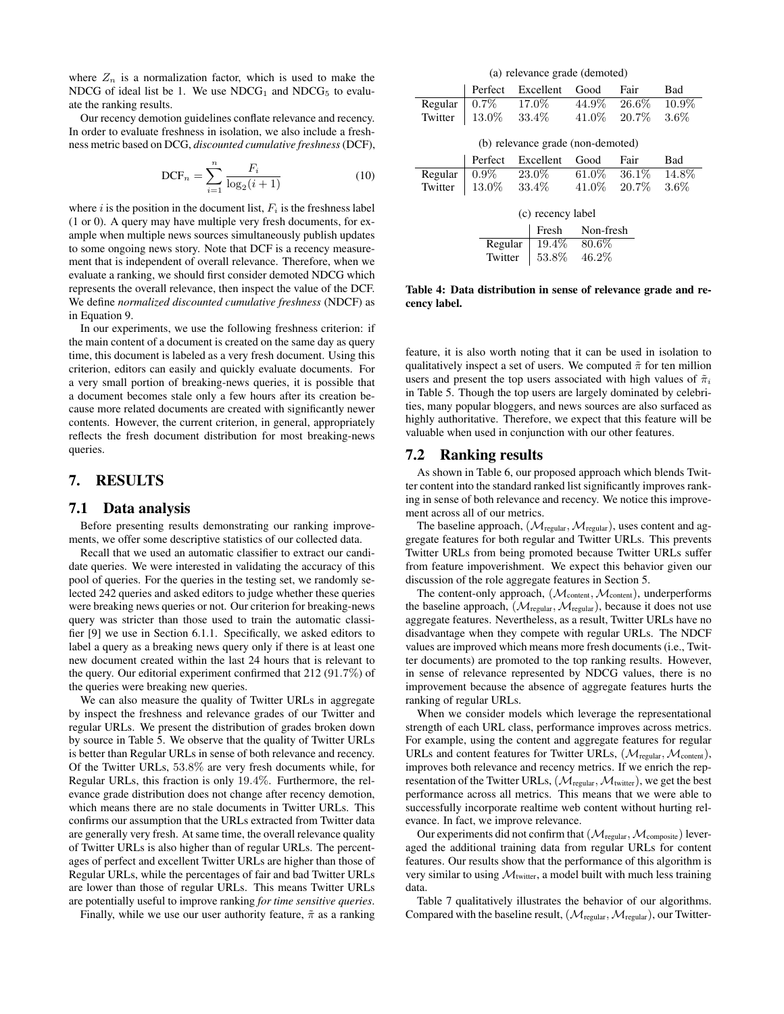where  $Z_n$  is a normalization factor, which is used to make the NDCG of ideal list be 1. We use  $NDCG_1$  and  $NDCG_5$  to evaluate the ranking results.

Our recency demotion guidelines conflate relevance and recency. In order to evaluate freshness in isolation, we also include a freshness metric based on DCG, *discounted cumulative freshness*(DCF),

$$
\text{DCF}_n = \sum_{i=1}^n \frac{F_i}{\log_2(i+1)}\tag{10}
$$

where i is the position in the document list,  $F_i$  is the freshness label (1 or 0). A query may have multiple very fresh documents, for example when multiple news sources simultaneously publish updates to some ongoing news story. Note that DCF is a recency measurement that is independent of overall relevance. Therefore, when we evaluate a ranking, we should first consider demoted NDCG which represents the overall relevance, then inspect the value of the DCF. We define *normalized discounted cumulative freshness* (NDCF) as in Equation 9.

In our experiments, we use the following freshness criterion: if the main content of a document is created on the same day as query time, this document is labeled as a very fresh document. Using this criterion, editors can easily and quickly evaluate documents. For a very small portion of breaking-news queries, it is possible that a document becomes stale only a few hours after its creation because more related documents are created with significantly newer contents. However, the current criterion, in general, appropriately reflects the fresh document distribution for most breaking-news queries.

# 7. RESULTS

#### 7.1 Data analysis

Before presenting results demonstrating our ranking improvements, we offer some descriptive statistics of our collected data.

Recall that we used an automatic classifier to extract our candidate queries. We were interested in validating the accuracy of this pool of queries. For the queries in the testing set, we randomly selected 242 queries and asked editors to judge whether these queries were breaking news queries or not. Our criterion for breaking-news query was stricter than those used to train the automatic classifier [9] we use in Section 6.1.1. Specifically, we asked editors to label a query as a breaking news query only if there is at least one new document created within the last 24 hours that is relevant to the query. Our editorial experiment confirmed that 212 (91.7%) of the queries were breaking new queries.

We can also measure the quality of Twitter URLs in aggregate by inspect the freshness and relevance grades of our Twitter and regular URLs. We present the distribution of grades broken down by source in Table 5. We observe that the quality of Twitter URLs is better than Regular URLs in sense of both relevance and recency. Of the Twitter URLs, 53.8% are very fresh documents while, for Regular URLs, this fraction is only 19.4%. Furthermore, the relevance grade distribution does not change after recency demotion, which means there are no stale documents in Twitter URLs. This confirms our assumption that the URLs extracted from Twitter data are generally very fresh. At same time, the overall relevance quality of Twitter URLs is also higher than of regular URLs. The percentages of perfect and excellent Twitter URLs are higher than those of Regular URLs, while the percentages of fair and bad Twitter URLs are lower than those of regular URLs. This means Twitter URLs are potentially useful to improve ranking *for time sensitive queries*.

Finally, while we use our user authority feature,  $\tilde{\pi}$  as a ranking

| (a) relevance grade (demoted) |          |  |                   |                                   |       |            |
|-------------------------------|----------|--|-------------------|-----------------------------------|-------|------------|
|                               | Perfect  |  | Excellent         | Good                              | Fair  | <b>Bad</b> |
| Regular                       | $0.7\%$  |  | 17.0%             | 44.9%                             | 26.6% | $10.9\%$   |
| Twitter                       | $13.0\%$ |  | 33.4\%            | 41.0%                             | 20.7% | $3.6\%$    |
|                               |          |  |                   |                                   |       |            |
|                               |          |  |                   | (b) relevance grade (non-demoted) |       |            |
|                               | Perfect  |  | Excellent         | Good                              | Fair  | <b>Bad</b> |
| Regular                       | $0.9\%$  |  | 23.0%             | $61.0\%$                          | 36.1% | 14.8%      |
| Twitter                       | 13.0%    |  | 33.4%             | $41.0\%$                          | 20.7% | 3.6%       |
|                               |          |  |                   |                                   |       |            |
|                               |          |  | (c) recency label |                                   |       |            |
|                               |          |  | Fresh             | Non-fresh                         |       |            |
|                               | Regular  |  | $19.4\%$          | 80.6%                             |       |            |
|                               | Twitter  |  | 53.8%             | 46.2%                             |       |            |

Table 4: Data distribution in sense of relevance grade and recency label.

feature, it is also worth noting that it can be used in isolation to qualitatively inspect a set of users. We computed  $\tilde{\pi}$  for ten million users and present the top users associated with high values of  $\tilde{\pi}_i$ in Table 5. Though the top users are largely dominated by celebrities, many popular bloggers, and news sources are also surfaced as highly authoritative. Therefore, we expect that this feature will be valuable when used in conjunction with our other features.

#### 7.2 Ranking results

As shown in Table 6, our proposed approach which blends Twitter content into the standard ranked list significantly improves ranking in sense of both relevance and recency. We notice this improvement across all of our metrics.

The baseline approach,  $(\mathcal{M}_{\text{regular}}, \mathcal{M}_{\text{regular}})$ , uses content and aggregate features for both regular and Twitter URLs. This prevents Twitter URLs from being promoted because Twitter URLs suffer from feature impoverishment. We expect this behavior given our discussion of the role aggregate features in Section 5.

The content-only approach,  $(\mathcal{M}_{\text{content}}, \mathcal{M}_{\text{content}})$ , underperforms the baseline approach,  $(\mathcal{M}_{\text{regular}}, \mathcal{M}_{\text{regular}})$ , because it does not use aggregate features. Nevertheless, as a result, Twitter URLs have no disadvantage when they compete with regular URLs. The NDCF values are improved which means more fresh documents (i.e., Twitter documents) are promoted to the top ranking results. However, in sense of relevance represented by NDCG values, there is no improvement because the absence of aggregate features hurts the ranking of regular URLs.

When we consider models which leverage the representational strength of each URL class, performance improves across metrics. For example, using the content and aggregate features for regular URLs and content features for Twitter URLs,  $(\mathcal{M}_{\text{regular}}, \mathcal{M}_{\text{content}})$ , improves both relevance and recency metrics. If we enrich the representation of the Twitter URLs,  $(\mathcal{M}_{\text{regular}}, \mathcal{M}_{\text{twitter}})$ , we get the best performance across all metrics. This means that we were able to successfully incorporate realtime web content without hurting relevance. In fact, we improve relevance.

Our experiments did not confirm that ( $\mathcal{M}_{\text{regular}},\mathcal{M}_{\text{composite}}$ ) leveraged the additional training data from regular URLs for content features. Our results show that the performance of this algorithm is very similar to using  $\mathcal{M}_{\text{twitter}}$ , a model built with much less training data.

Table 7 qualitatively illustrates the behavior of our algorithms. Compared with the baseline result,  $(\mathcal{M}_{\text{regular}}, \mathcal{M}_{\text{regular}})$ , our Twitter-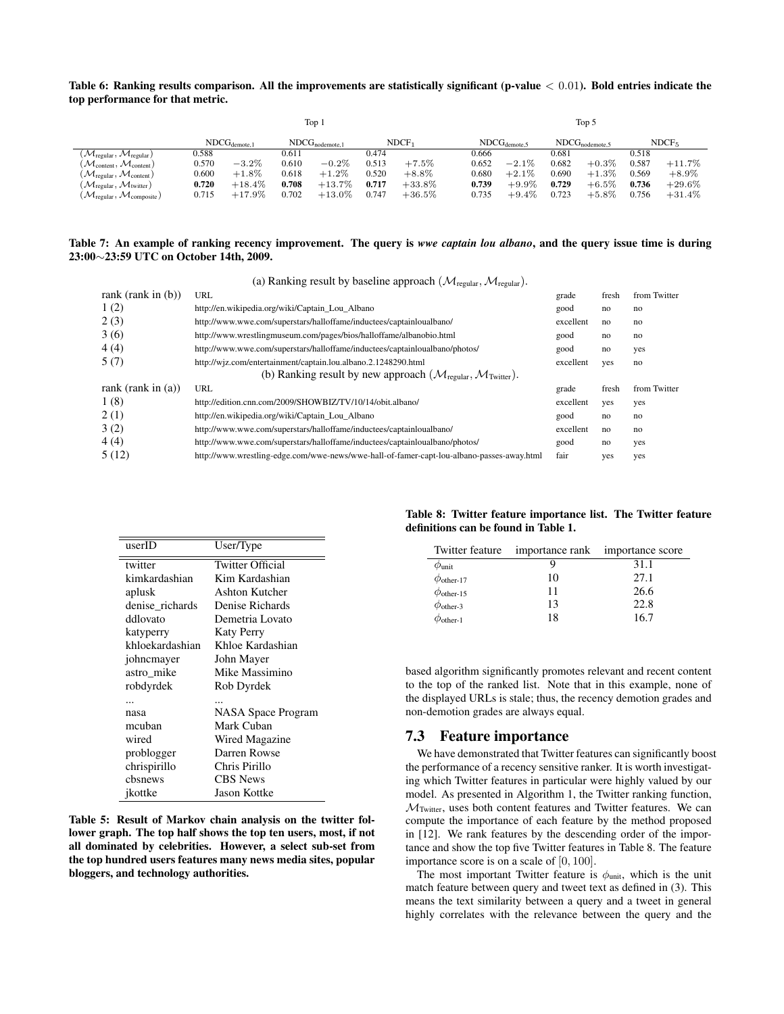#### Table 6: Ranking results comparison. All the improvements are statistically significant (p-value  $< 0.01$ ). Bold entries indicate the top performance for that metric.

|                                                                  | Top 1 |                   |       | Top 5             |       |                   |       |                           |       |                   |       |                   |
|------------------------------------------------------------------|-------|-------------------|-------|-------------------|-------|-------------------|-------|---------------------------|-------|-------------------|-------|-------------------|
|                                                                  |       | $NDCG_{demote.1}$ |       | $NDCG_{nodemode}$ |       | NDCF <sub>1</sub> |       | $NDCG_{\text{demote}}$ .5 |       | $NDCG_{nodemode}$ |       | NDCF <sub>5</sub> |
| $(\mathcal{M}_{\text{regular}}, \mathcal{M}_{\text{regular}})$   | 0.588 |                   | 0.611 |                   | 0.474 |                   | 0.666 |                           | 0.681 |                   | 0.518 |                   |
| $(\mathcal{M}_{\text{content}}, \mathcal{M}_{\text{content}})$   | 0.570 | $-3.2\%$          | 0.610 | $-0.2%$           | 0.513 | $+7.5\%$          | 0.652 | $-2.1\%$                  | 0.682 | $+0.3%$           | 0.587 | $+11.7\%$         |
| $(\mathcal{M}_{\text{regular}}, \mathcal{M}_{\text{content}})$   | 0.600 | $+1.8\%$          | 0.618 | $+1.2\%$          | 0.520 | $+8.8\%$          | 0.680 | $+2.1\%$                  | 0.690 | $+1.3\%$          | 0.569 | $+8.9\%$          |
| $(\mathcal{M}_{\text{regular}}, \mathcal{M}_{\text{twitter}})$   | 0.720 | $+18.4\%$         | 0.708 | $+13.7\%$         | 0.717 | $+33.8\%$         | 0.739 | $+9.9\%$                  | 0.729 | $+6.5\%$          | 0.736 | $+29.6\%$         |
| $(\mathcal{M}_{\text{regular}}, \mathcal{M}_{\text{composite}})$ | 0.715 | $+17.9%$          | 0.702 | $+13.0\%$         | 0.747 | $+36.5\%$         | 0.735 | $+9.4\%$                  | 0.723 | $+5.8\%$          | 0.756 | $+31.4\%$         |

#### Table 7: An example of ranking recency improvement. The query is *wwe captain lou albano*, and the query issue time is during 23:00∼23:59 UTC on October 14th, 2009.

| (a) Ranking result by baseline approach $(\mathcal{M}_{\text{regular}}, \mathcal{M}_{\text{regular}})$ . |  |  |  |
|----------------------------------------------------------------------------------------------------------|--|--|--|
|----------------------------------------------------------------------------------------------------------|--|--|--|

| rank $(rank in (b))$ | <b>URL</b>                                                                                              | grade     | fresh | from Twitter |
|----------------------|---------------------------------------------------------------------------------------------------------|-----------|-------|--------------|
| 1(2)                 | http://en.wikipedia.org/wiki/Captain Lou Albano                                                         | good      | no    | no           |
| 2(3)                 | http://www.wwe.com/superstars/halloffame/inductees/captainloualbano/                                    | excellent | no    | no           |
| 3(6)                 | http://www.wrestlingmuseum.com/pages/bios/halloffame/albanobio.html                                     | good      | no    | no           |
| 4(4)                 | http://www.wwe.com/superstars/halloffame/inductees/captainloualbano/photos/                             | good      | no    | yes          |
| 5(7)                 | http://wjz.com/entertainment/captain.lou.albano.2.1248290.html                                          | excellent | ves   | no           |
|                      | (b) Ranking result by new approach ( $\mathcal{M}_{\text{regular}}$ , $\mathcal{M}_{\text{Twitter}}$ ). |           |       |              |
| rank $(rank in (a))$ | URL                                                                                                     | grade     | fresh | from Twitter |
| 1(8)                 | http://edition.cnn.com/2009/SHOWBIZ/TV/10/14/obit.albano/                                               | excellent | ves   | yes          |
| 2(1)                 | http://en.wikipedia.org/wiki/Captain Lou Albano                                                         | good      | no    | no           |
| 3(2)                 | http://www.wwe.com/superstars/halloffame/inductees/captainloualbano/                                    | excellent | no    | no           |
| 4(4)                 | http://www.wwe.com/superstars/halloffame/inductees/captainloualbano/photos/                             | good      | no    | yes          |
| 5(12)                | http://www.wrestling-edge.com/wwe-news/wwe-hall-of-famer-capt-lou-albano-passes-away.html               | fair      | yes   | yes          |

| userID          | User/Type               |
|-----------------|-------------------------|
| twitter         | <b>Twitter Official</b> |
| kimkardashian   | Kim Kardashian          |
| aplusk          | Ashton Kutcher          |
| denise richards | Denise Richards         |
| ddlovato        | Demetria Lovato         |
| katyperry       | Katy Perry              |
| khloekardashian | Khloe Kardashian        |
| johnemayer      | John Mayer              |
| astro mike      | Mike Massimino          |
| robdyrdek       | Rob Dyrdek              |
|                 |                         |
| nasa            | NASA Space Program      |
| mcuban          | Mark Cuban              |
| wired           | Wired Magazine          |
| problogger      | Darren Rowse            |
| chrispirillo    | Chris Pirillo           |
| chsnews         | <b>CBS</b> News         |
| jkottke         | <b>Jason Kottke</b>     |

þ

Table 5: Result of Markov chain analysis on the twitter follower graph. The top half shows the top ten users, most, if not all dominated by celebrities. However, a select sub-set from the top hundred users features many news media sites, popular bloggers, and technology authorities.

#### Table 8: Twitter feature importance list. The Twitter feature definitions can be found in Table 1.

| Twitter feature               | importance rank importance score |      |
|-------------------------------|----------------------------------|------|
| $\varphi$ unit                |                                  | 31.1 |
| $\varphi$ <sub>other-17</sub> | 10                               | 27.1 |
| $\varphi$ <sub>other-15</sub> | 11                               | 26.6 |
| $\varphi$ <sub>other-3</sub>  | 13                               | 22.8 |
| $Pother-1$                    | 18                               | 16.7 |

based algorithm significantly promotes relevant and recent content to the top of the ranked list. Note that in this example, none of the displayed URLs is stale; thus, the recency demotion grades and non-demotion grades are always equal.

### 7.3 Feature importance

We have demonstrated that Twitter features can significantly boost the performance of a recency sensitive ranker. It is worth investigating which Twitter features in particular were highly valued by our model. As presented in Algorithm 1, the Twitter ranking function,  $M_{\text{Twitter}}$ , uses both content features and Twitter features. We can compute the importance of each feature by the method proposed in [12]. We rank features by the descending order of the importance and show the top five Twitter features in Table 8. The feature importance score is on a scale of [0, 100].

The most important Twitter feature is  $\phi$ <sub>unit</sub>, which is the unit match feature between query and tweet text as defined in (3). This means the text similarity between a query and a tweet in general highly correlates with the relevance between the query and the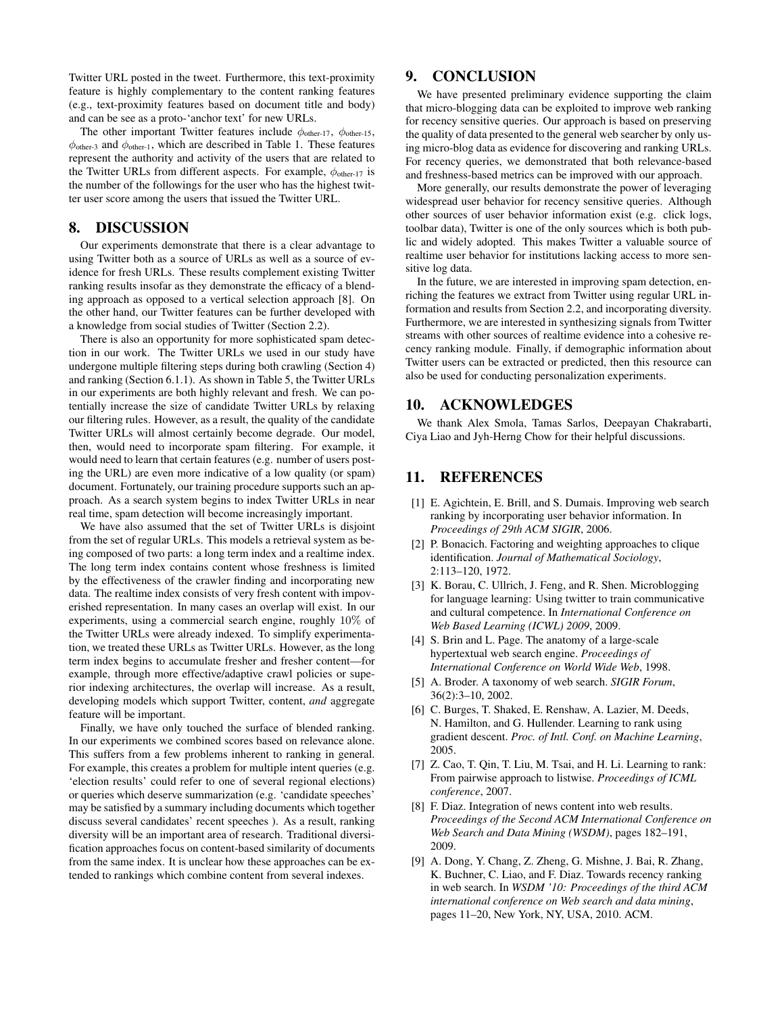Twitter URL posted in the tweet. Furthermore, this text-proximity feature is highly complementary to the content ranking features (e.g., text-proximity features based on document title and body) and can be see as a proto-'anchor text' for new URLs.

The other important Twitter features include  $\phi_{other-17}$ ,  $\phi_{other-15}$ ,  $\phi$ <sub>other-3</sub> and  $\phi$ <sub>other-1</sub>, which are described in Table 1. These features represent the authority and activity of the users that are related to the Twitter URLs from different aspects. For example,  $\phi_{other-17}$  is the number of the followings for the user who has the highest twitter user score among the users that issued the Twitter URL.

# 8. DISCUSSION

Our experiments demonstrate that there is a clear advantage to using Twitter both as a source of URLs as well as a source of evidence for fresh URLs. These results complement existing Twitter ranking results insofar as they demonstrate the efficacy of a blending approach as opposed to a vertical selection approach [8]. On the other hand, our Twitter features can be further developed with a knowledge from social studies of Twitter (Section 2.2).

There is also an opportunity for more sophisticated spam detection in our work. The Twitter URLs we used in our study have undergone multiple filtering steps during both crawling (Section 4) and ranking (Section 6.1.1). As shown in Table 5, the Twitter URLs in our experiments are both highly relevant and fresh. We can potentially increase the size of candidate Twitter URLs by relaxing our filtering rules. However, as a result, the quality of the candidate Twitter URLs will almost certainly become degrade. Our model, then, would need to incorporate spam filtering. For example, it would need to learn that certain features (e.g. number of users posting the URL) are even more indicative of a low quality (or spam) document. Fortunately, our training procedure supports such an approach. As a search system begins to index Twitter URLs in near real time, spam detection will become increasingly important.

We have also assumed that the set of Twitter URLs is disjoint from the set of regular URLs. This models a retrieval system as being composed of two parts: a long term index and a realtime index. The long term index contains content whose freshness is limited by the effectiveness of the crawler finding and incorporating new data. The realtime index consists of very fresh content with impoverished representation. In many cases an overlap will exist. In our experiments, using a commercial search engine, roughly 10% of the Twitter URLs were already indexed. To simplify experimentation, we treated these URLs as Twitter URLs. However, as the long term index begins to accumulate fresher and fresher content—for example, through more effective/adaptive crawl policies or superior indexing architectures, the overlap will increase. As a result, developing models which support Twitter, content, *and* aggregate feature will be important.

Finally, we have only touched the surface of blended ranking. In our experiments we combined scores based on relevance alone. This suffers from a few problems inherent to ranking in general. For example, this creates a problem for multiple intent queries (e.g. 'election results' could refer to one of several regional elections) or queries which deserve summarization (e.g. 'candidate speeches' may be satisfied by a summary including documents which together discuss several candidates' recent speeches ). As a result, ranking diversity will be an important area of research. Traditional diversification approaches focus on content-based similarity of documents from the same index. It is unclear how these approaches can be extended to rankings which combine content from several indexes.

# 9. CONCLUSION

We have presented preliminary evidence supporting the claim that micro-blogging data can be exploited to improve web ranking for recency sensitive queries. Our approach is based on preserving the quality of data presented to the general web searcher by only using micro-blog data as evidence for discovering and ranking URLs. For recency queries, we demonstrated that both relevance-based and freshness-based metrics can be improved with our approach.

More generally, our results demonstrate the power of leveraging widespread user behavior for recency sensitive queries. Although other sources of user behavior information exist (e.g. click logs, toolbar data), Twitter is one of the only sources which is both public and widely adopted. This makes Twitter a valuable source of realtime user behavior for institutions lacking access to more sensitive log data.

In the future, we are interested in improving spam detection, enriching the features we extract from Twitter using regular URL information and results from Section 2.2, and incorporating diversity. Furthermore, we are interested in synthesizing signals from Twitter streams with other sources of realtime evidence into a cohesive recency ranking module. Finally, if demographic information about Twitter users can be extracted or predicted, then this resource can also be used for conducting personalization experiments.

# 10. ACKNOWLEDGES

We thank Alex Smola, Tamas Sarlos, Deepayan Chakrabarti, Ciya Liao and Jyh-Herng Chow for their helpful discussions.

### 11. REFERENCES

- [1] E. Agichtein, E. Brill, and S. Dumais. Improving web search ranking by incorporating user behavior information. In *Proceedings of 29th ACM SIGIR*, 2006.
- [2] P. Bonacich. Factoring and weighting approaches to clique identification. *Journal of Mathematical Sociology*, 2:113–120, 1972.
- [3] K. Borau, C. Ullrich, J. Feng, and R. Shen. Microblogging for language learning: Using twitter to train communicative and cultural competence. In *International Conference on Web Based Learning (ICWL) 2009*, 2009.
- [4] S. Brin and L. Page. The anatomy of a large-scale hypertextual web search engine. *Proceedings of International Conference on World Wide Web*, 1998.
- [5] A. Broder. A taxonomy of web search. *SIGIR Forum*, 36(2):3–10, 2002.
- [6] C. Burges, T. Shaked, E. Renshaw, A. Lazier, M. Deeds, N. Hamilton, and G. Hullender. Learning to rank using gradient descent. *Proc. of Intl. Conf. on Machine Learning*, 2005.
- [7] Z. Cao, T. Qin, T. Liu, M. Tsai, and H. Li. Learning to rank: From pairwise approach to listwise. *Proceedings of ICML conference*, 2007.
- [8] F. Diaz. Integration of news content into web results. *Proceedings of the Second ACM International Conference on Web Search and Data Mining (WSDM)*, pages 182–191, 2009.
- [9] A. Dong, Y. Chang, Z. Zheng, G. Mishne, J. Bai, R. Zhang, K. Buchner, C. Liao, and F. Diaz. Towards recency ranking in web search. In *WSDM '10: Proceedings of the third ACM international conference on Web search and data mining*, pages 11–20, New York, NY, USA, 2010. ACM.